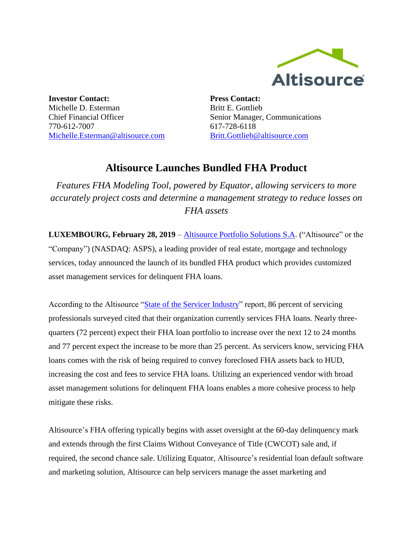

**Investor Contact:** Michelle D. Esterman Chief Financial Officer 770-612-7007 Michelle.Esterman@altisource.com

**Press Contact:** Britt E. Gottlieb Senior Manager, Communications 617-728-6118 [Britt.Gottlieb@altisource.com](mailto:Britt.Gottlieb@altisource.com)

## **Altisource Launches Bundled FHA Product**

*Features FHA Modeling Tool, powered by Equator, allowing servicers to more accurately project costs and determine a management strategy to reduce losses on FHA assets*

**LUXEMBOURG, February 28, 2019** – [Altisource Portfolio Solutions S.A.](https://altisource.com/?utm_source=globenewswire&utm_medium=press%20coverage&utm_campaign=190228-PRL-FHABundledProduct&utm_content=first%20link) ("Altisource" or the "Company") (NASDAQ: ASPS), a leading provider of real estate, mortgage and technology services, today announced the launch of its bundled FHA product which provides customized asset management services for delinquent FHA loans.

According to the Altisource "State of [the Servicer Industry"](http://go.altisource.com/ServicerReportGated-LP.html?utm_source=globenewswire&utm_medium=press%20coverage&utm_campaign=190228-PRL-FHABundledProduct&utm_content=second%20link) report, 86 percent of servicing professionals surveyed cited that their organization currently services FHA loans. Nearly threequarters (72 percent) expect their FHA loan portfolio to increase over the next 12 to 24 months and 77 percent expect the increase to be more than 25 percent. As servicers know, servicing FHA loans comes with the risk of being required to convey foreclosed FHA assets back to HUD, increasing the cost and fees to service FHA loans. Utilizing an experienced vendor with broad asset management solutions for delinquent FHA loans enables a more cohesive process to help mitigate these risks.

Altisource's FHA offering typically begins with asset oversight at the 60-day delinquency mark and extends through the first Claims Without Conveyance of Title (CWCOT) sale and, if required, the second chance sale. Utilizing Equator, Altisource's residential loan default software and marketing solution, Altisource can help servicers manage the asset marketing and